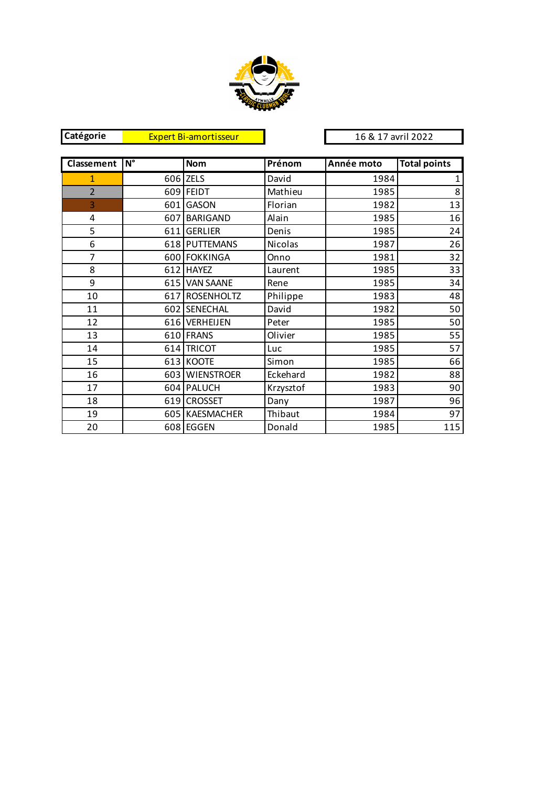

| Catégorie      |                                 | <b>Expert Bi-amortisseur</b> |                | 16 & 17 avril 2022 |                     |
|----------------|---------------------------------|------------------------------|----------------|--------------------|---------------------|
|                |                                 |                              |                |                    |                     |
| Classement     | $\overline{\mathsf{N}^{\circ}}$ | <b>Nom</b>                   | Prénom         | Année moto         | <b>Total points</b> |
| $\mathbf{1}$   |                                 | 606 ZELS                     | David          | 1984               | 1                   |
| $\overline{2}$ |                                 | 609 FEIDT                    | Mathieu        | 1985               | 8                   |
| 3              | 601 l                           | <b>GASON</b>                 | Florian        | 1982               | 13                  |
| 4              | 607                             | BARIGAND                     | Alain          | 1985               | 16                  |
| 5              | 611                             | <b>GERLIER</b>               | Denis          | 1985               | 24                  |
| 6              |                                 | 618 PUTTEMANS                | <b>Nicolas</b> | 1987               | 26                  |
| $\overline{7}$ |                                 | 600 FOKKINGA                 | Onno           | 1981               | 32                  |
| 8              |                                 | 612 HAYEZ                    | Laurent        | 1985               | 33                  |
| 9              |                                 | 615 VAN SAANE                | Rene           | 1985               | 34                  |
| 10             |                                 | 617 ROSENHOLTZ               | Philippe       | 1983               | 48                  |
| 11             |                                 | 602 SENECHAL                 | David          | 1982               | 50                  |
| 12             |                                 | 616 VERHEIJEN                | Peter          | 1985               | 50                  |
| 13             |                                 | 610 FRANS                    | Olivier        | 1985               | 55                  |
| 14             | 614                             | <b>TRICOT</b>                | Luc            | 1985               | 57                  |
| 15             |                                 | 613 KOOTE                    | Simon          | 1985               | 66                  |
| 16             |                                 | 603 WIENSTROER               | Eckehard       | 1982               | 88                  |
| 17             |                                 | 604 PALUCH                   | Krzysztof      | 1983               | 90                  |
| 18             |                                 | 619 CROSSET                  | Dany           | 1987               | 96                  |
| 19             |                                 | 605 KAESMACHER               | Thibaut        | 1984               | 97                  |
| 20             |                                 | 608 EGGEN                    | Donald         | 1985               | 115                 |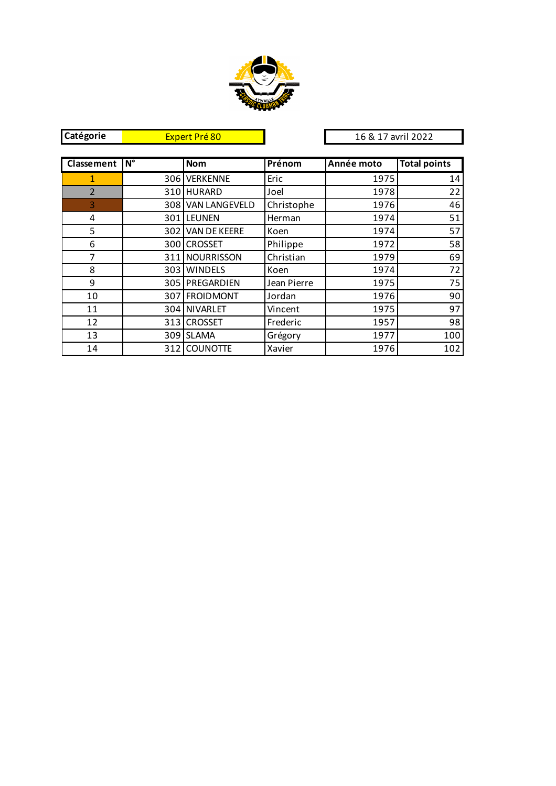

| Catégorie      | Expert Pré 80 |                   |             | 16 & 17 avril 2022 |                     |
|----------------|---------------|-------------------|-------------|--------------------|---------------------|
|                |               |                   |             |                    |                     |
| Classement     | $N^{\circ}$   | <b>Nom</b>        | Prénom      | Année moto         | <b>Total points</b> |
| 1              |               | 306 VERKENNE      | Eric        | 1975               | 14                  |
| $\overline{2}$ |               | 310 HURARD        | Joel        | 1978               | 22                  |
| $\overline{3}$ |               | 308 VAN LANGEVELD | Christophe  | 1976               | 46                  |
| 4              |               | 301 LEUNEN        | Herman      | 1974               | 51                  |
| 5              |               | 302 VAN DE KEERE  | Koen        | 1974               | 57                  |
| 6              |               | 300 CROSSET       | Philippe    | 1972               | 58                  |
| 7              |               | 311 NOURRISSON    | Christian   | 1979               | 69                  |
| 8              |               | 303 WINDELS       | Koen        | 1974               | 72                  |
| 9              |               | 305 PREGARDIEN    | Jean Pierre | 1975               | 75                  |
| 10             |               | 307 FROIDMONT     | Jordan      | 1976               | 90                  |
| 11             |               | 304 NIVARLET      | Vincent     | 1975               | 97                  |
| 12             |               | 313 CROSSET       | Frederic    | 1957               | 98                  |
| 13             |               | 309 SLAMA         | Grégory     | 1977               | 100                 |
| 14             |               | 312 COUNOTTE      | Xavier      | 1976               | 102                 |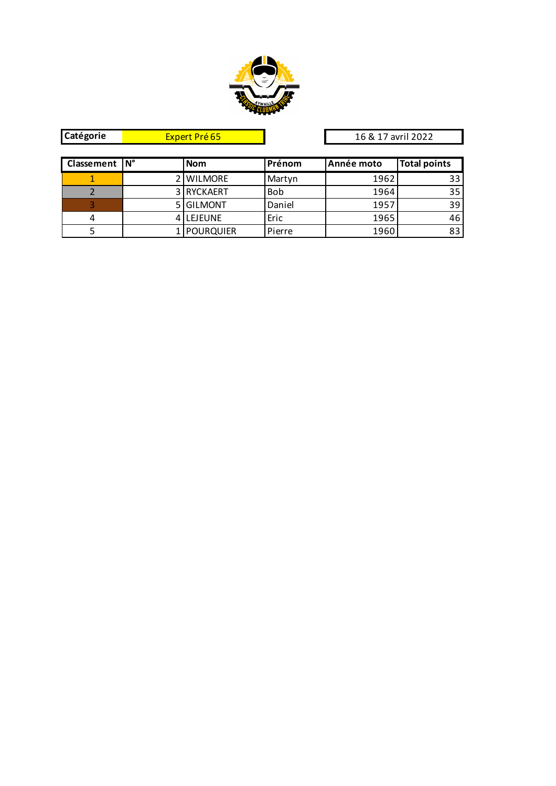

| Catégorie       | Expert Pré 65 |                 | 16 & 17 avril 2022 |          |
|-----------------|---------------|-----------------|--------------------|----------|
|                 |               |                 |                    |          |
| Classement   N° | <b>Nom</b>    | <u>l Prénom</u> | <b>LAnnée moto</b> | Total po |
|                 | 2 I WILLMORE  | Martyn          | 1962               |          |

**COLAS Total points** 1 2 WILMORE Martyn 1962 33 2 3 RYCKAERT Bob 1964 35 3 5 GILMONT Daniel 1957 39<br>4 4 LEJEUNE Eric 1965 46 4 4 LEJEUNE Eric 1965 46<br>5 1 POURQUIER Pierre 1960 83 5 1 POURQUIER Pierre 1960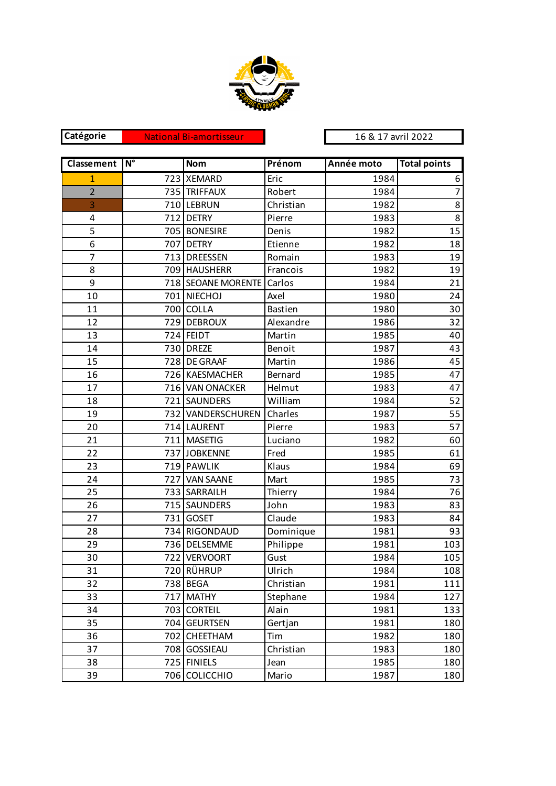

**Catégorie** 

National Bi-amortisseur 16 & 17 avril 2022

| <b>Classement</b>       | $\overline{\mathsf{N}^{\circ}}$ | <b>Nom</b>                | Prénom         | Année moto | <b>Total points</b> |
|-------------------------|---------------------------------|---------------------------|----------------|------------|---------------------|
| $\mathbf{1}$            |                                 | 723 XEMARD                | Eric           | 1984       | 6                   |
| $\overline{2}$          |                                 | 735 TRIFFAUX              | Robert         | 1984       | $\overline{7}$      |
| 3                       |                                 | 710 LEBRUN                | Christian      | 1982       | 8                   |
| $\overline{\mathbf{4}}$ |                                 | 712 DETRY                 | Pierre         | 1983       | 8                   |
| 5                       |                                 | 705 BONESIRE              | Denis          | 1982       | 15                  |
| 6                       |                                 | 707 DETRY                 | Etienne        | 1982       | 18                  |
| $\overline{7}$          |                                 | 713 DREESSEN              | Romain         | 1983       | 19                  |
| 8                       |                                 | 709 HAUSHERR              | Francois       | 1982       | 19                  |
| 9                       |                                 | 718 SEOANE MORENTE Carlos |                | 1984       | 21                  |
| 10                      |                                 | 701 NIECHOJ               | Axel           | 1980       | 24                  |
| 11                      |                                 | 700 COLLA                 | <b>Bastien</b> | 1980       | 30                  |
| 12                      |                                 | 729 DEBROUX               | Alexandre      | 1986       | 32                  |
| 13                      |                                 | 724 FEIDT                 | Martin         | 1985       | 40                  |
| 14                      |                                 | 730 DREZE                 | Benoit         | 1987       | 43                  |
| 15                      |                                 | 728 DE GRAAF              | Martin         | 1986       | 45                  |
| 16                      |                                 | 726 KAESMACHER            | Bernard        | 1985       | 47                  |
| 17                      |                                 | 716 VAN ONACKER           | Helmut         | 1983       | 47                  |
| 18                      |                                 | 721 SAUNDERS              | William        | 1984       | 52                  |
| 19                      |                                 | 732 VANDERSCHUREN         | Charles        | 1987       | 55                  |
| 20                      |                                 | 714 LAURENT               | Pierre         | 1983       | 57                  |
| 21                      |                                 | 711 MASETIG               | Luciano        | 1982       | 60                  |
| 22                      |                                 | 737 JOBKENNE              | Fred           | 1985       | 61                  |
| 23                      |                                 | 719 PAWLIK                | Klaus          | 1984       | 69                  |
| 24                      |                                 | 727 VAN SAANE             | Mart           | 1985       | 73                  |
| 25                      |                                 | 733 SARRAILH              | Thierry        | 1984       | 76                  |
| 26                      |                                 | 715 SAUNDERS              | John           | 1983       | 83                  |
| 27                      |                                 | 731 GOSET                 | Claude         | 1983       | 84                  |
| 28                      |                                 | 734 RIGONDAUD             | Dominique      | 1981       | 93                  |
| 29                      |                                 | 736 DELSEMME              | Philippe       | 1981       | 103                 |
| 30                      |                                 | 722 VERVOORT              | Gust           | 1984       | 105                 |
| 31                      |                                 | 720 RÜHRUP                | Ulrich         | 1984       | 108                 |
| 32                      |                                 | 738 BEGA                  | Christian      | 1981       | 111                 |
| 33                      | 717                             | <b>MATHY</b>              | Stephane       | 1984       | 127                 |
| 34                      |                                 | 703 CORTEIL               | Alain          | 1981       | 133                 |
| 35                      |                                 | 704 GEURTSEN              | Gertjan        | 1981       | 180                 |
| 36                      | 702                             | CHEETHAM                  | Tim            | 1982       | 180                 |
| 37                      |                                 | 708 GOSSIEAU              | Christian      | 1983       | 180                 |
| 38                      |                                 | 725 FINIELS               | Jean           | 1985       | 180                 |
| 39                      |                                 | 706 COLICCHIO             | Mario          | 1987       | 180                 |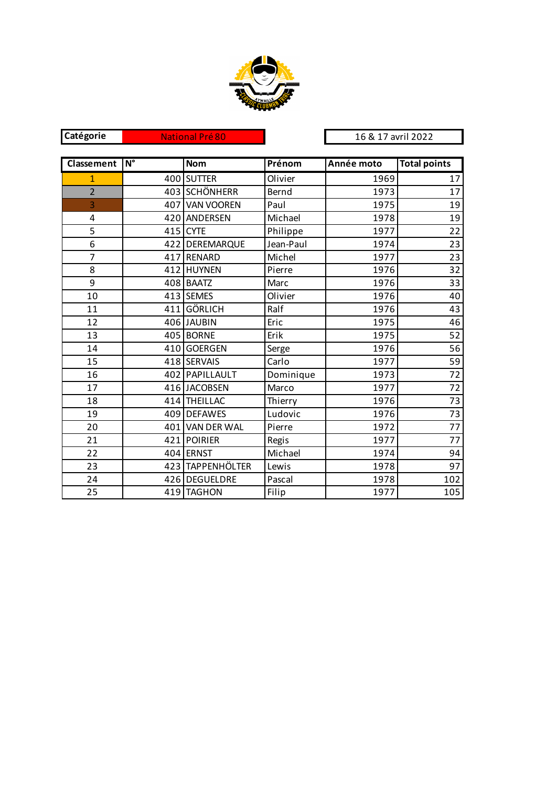

| Catégorie      |                                 | <b>National Pré 80</b> |           | 16 & 17 avril 2022 |                     |
|----------------|---------------------------------|------------------------|-----------|--------------------|---------------------|
|                |                                 |                        |           |                    |                     |
| Classement     | $\overline{\mathsf{N}^{\circ}}$ | <b>Nom</b>             | Prénom    | Année moto         | <b>Total points</b> |
| $\mathbf{1}$   | 400                             | <b>SUTTER</b>          | Olivier   | 1969               | 17                  |
| $\overline{2}$ |                                 | 403 SCHÖNHERR          | Bernd     | 1973               | 17                  |
| 3              |                                 | 407 VAN VOOREN         | Paul      | 1975               | 19                  |
| 4              |                                 | 420 ANDERSEN           | Michael   | 1978               | 19                  |
| 5              |                                 | 415 CYTE               | Philippe  | 1977               | 22                  |
| 6              |                                 | 422 DEREMARQUE         | Jean-Paul | 1974               | 23                  |
| $\overline{7}$ |                                 | 417 RENARD             | Michel    | 1977               | 23                  |
| 8              |                                 | 412 HUYNEN             | Pierre    | 1976               | 32                  |
| 9              |                                 | 408 BAATZ              | Marc      | 1976               | 33                  |
| 10             |                                 | 413 SEMES              | Olivier   | 1976               | 40                  |
| 11             |                                 | 411 GÖRLICH            | Ralf      | 1976               | 43                  |
| 12             |                                 | 406 JAUBIN             | Eric      | 1975               | 46                  |
| 13             |                                 | 405 BORNE              | Erik      | 1975               | 52                  |
| 14             |                                 | 410 GOERGEN            | Serge     | 1976               | 56                  |
| 15             |                                 | 418 SERVAIS            | Carlo     | 1977               | 59                  |
| 16             |                                 | 402 PAPILLAULT         | Dominique | 1973               | 72                  |
| 17             |                                 | 416 JACOBSEN           | Marco     | 1977               | 72                  |
| 18             |                                 | 414 THEILLAC           | Thierry   | 1976               | 73                  |
| 19             |                                 | 409 DEFAWES            | Ludovic   | 1976               | 73                  |
| 20             |                                 | 401 VAN DER WAL        | Pierre    | 1972               | 77                  |
| 21             |                                 | 421 POIRIER            | Regis     | 1977               | 77                  |
| 22             |                                 | 404 ERNST              | Michael   | 1974               | 94                  |
| 23             |                                 | 423 TAPPENHÖLTER       | Lewis     | 1978               | 97                  |
| 24             |                                 | 426 DEGUELDRE          | Pascal    | 1978               | 102                 |
| 25             |                                 | 419 TAGHON             | Filip     | 1977               | 105                 |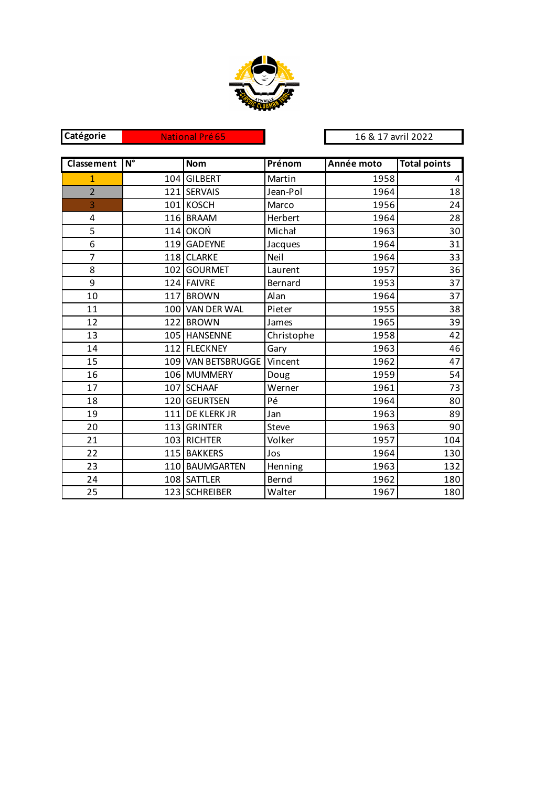

| Catégorie      | <b>National Pré 65</b><br>16 & 17 avril 2022 |                    |            |            |                     |
|----------------|----------------------------------------------|--------------------|------------|------------|---------------------|
|                |                                              |                    |            |            |                     |
| Classement     | $N^{\circ}$                                  | <b>Nom</b>         | Prénom     | Année moto | <b>Total points</b> |
| $\overline{1}$ | 104                                          | <b>GILBERT</b>     | Martin     | 1958       | 4                   |
| $\overline{2}$ | 121                                          | <b>SERVAIS</b>     | Jean-Pol   | 1964       | 18                  |
| 3              |                                              | 101 KOSCH          | Marco      | 1956       | 24                  |
| $\overline{4}$ |                                              | 116 BRAAM          | Herbert    | 1964       | 28                  |
| 5              | 114                                          | <b>OKOŃ</b>        | Michał     | 1963       | 30                  |
| 6              | 119                                          | <b>GADEYNE</b>     | Jacques    | 1964       | 31                  |
| $\overline{7}$ |                                              | 118 CLARKE         | Neil       | 1964       | 33                  |
| 8              |                                              | 102 GOURMET        | Laurent    | 1957       | 36                  |
| 9              |                                              | 124 FAIVRE         | Bernard    | 1953       | 37                  |
| 10             | 117                                          | <b>BROWN</b>       | Alan       | 1964       | 37                  |
| 11             |                                              | 100 VAN DER WAL    | Pieter     | 1955       | 38                  |
| 12             |                                              | 122 BROWN          | James      | 1965       | 39                  |
| 13             |                                              | 105 HANSENNE       | Christophe | 1958       | 42                  |
| 14             |                                              | 112 FLECKNEY       | Gary       | 1963       | 46                  |
| 15             |                                              | 109 VAN BETSBRUGGE | Vincent    | 1962       | 47                  |
| 16             |                                              | 106 MUMMERY        | Doug       | 1959       | 54                  |
| 17             |                                              | 107 SCHAAF         | Werner     | 1961       | 73                  |
| 18             |                                              | 120 GEURTSEN       | Pé         | 1964       | 80                  |
| 19             | 111                                          | DE KLERK JR        | Jan        | 1963       | 89                  |
| 20             | 113                                          | <b>GRINTER</b>     | Steve      | 1963       | 90                  |
| 21             |                                              | 103 RICHTER        | Volker     | 1957       | 104                 |
| 22             |                                              | 115 BAKKERS        | Jos        | 1964       | 130                 |
| 23             |                                              | 110 BAUMGARTEN     | Henning    | 1963       | 132                 |
| 24             |                                              | 108 SATTLER        | Bernd      | 1962       | 180                 |
| 25             |                                              | 123 SCHREIBER      | Walter     | 1967       | 180                 |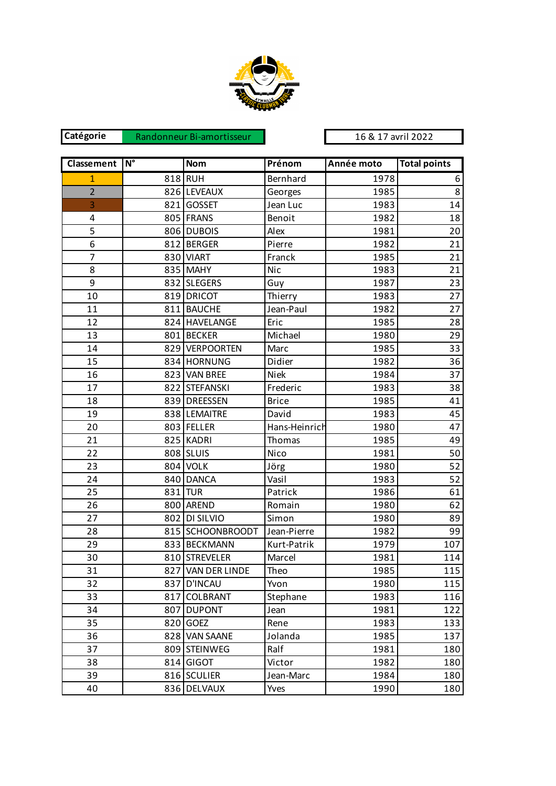

**Catégorie**  Randonneur Bi-amortisseur 16 & 17 avril 2022

| Classement     | $\overline{\mathsf{N}^{\circ}}$ | <b>Nom</b>        | Prénom        | Année moto | <b>Total points</b> |
|----------------|---------------------------------|-------------------|---------------|------------|---------------------|
| $\mathbf{1}$   |                                 | 818 RUH           | Bernhard      | 1978       | 6                   |
| $\overline{2}$ |                                 | 826 LEVEAUX       | Georges       | 1985       | 8                   |
| 3              |                                 | 821 GOSSET        | Jean Luc      | 1983       | 14                  |
| 4              |                                 | 805 FRANS         | Benoit        | 1982       | 18                  |
| 5              |                                 | 806 DUBOIS        | Alex          | 1981       | 20                  |
| $\overline{6}$ |                                 | 812 BERGER        | Pierre        | 1982       | 21                  |
| $\overline{7}$ |                                 | 830 VIART         | Franck        | 1985       | 21                  |
| 8              |                                 | 835 MAHY          | Nic           | 1983       | 21                  |
| 9              |                                 | 832 SLEGERS       | Guy           | 1987       | 23                  |
| 10             |                                 | 819 DRICOT        | Thierry       | 1983       | 27                  |
| 11             |                                 | 811 BAUCHE        | Jean-Paul     | 1982       | 27                  |
| 12             |                                 | 824 HAVELANGE     | Eric          | 1985       | 28                  |
| 13             |                                 | 801 BECKER        | Michael       | 1980       | 29                  |
| 14             |                                 | 829 VERPOORTEN    | Marc          | 1985       | 33                  |
| 15             |                                 | 834 HORNUNG       | Didier        | 1982       | 36                  |
| 16             |                                 | 823 VAN BREE      | <b>Niek</b>   | 1984       | 37                  |
| 17             |                                 | 822 STEFANSKI     | Frederic      | 1983       | 38                  |
| 18             |                                 | 839 DREESSEN      | <b>Brice</b>  | 1985       | 41                  |
| 19             |                                 | 838 LEMAITRE      | David         | 1983       | 45                  |
| 20             |                                 | 803 FELLER        | Hans-Heinrich | 1980       | 47                  |
| 21             |                                 | 825 KADRI         | Thomas        | 1985       | 49                  |
| 22             |                                 | 808 SLUIS         | Nico          | 1981       | 50                  |
| 23             |                                 | 804 VOLK          | Jörg          | 1980       | 52                  |
| 24             |                                 | 840 DANCA         | Vasil         | 1983       | 52                  |
| 25             |                                 | 831 TUR           | Patrick       | 1986       | 61                  |
| 26             |                                 | 800 AREND         | Romain        | 1980       | 62                  |
| 27             |                                 | 802 DI SILVIO     | Simon         | 1980       | 89                  |
| 28             |                                 | 815 SCHOONBROODT  | Jean-Pierre   | 1982       | 99                  |
| 29             |                                 | 833 BECKMANN      | Kurt-Patrik   | 1979       | 107                 |
| 30             |                                 | 810 STREVELER     | Marcel        | 1981       | 114                 |
| 31             |                                 | 827 VAN DER LINDE | Theo          | 1985       | 115                 |
| 32             | 837                             | <b>D'INCAU</b>    | Yvon          | 1980       | 115                 |
| 33             | 817                             | COLBRANT          | Stephane      | 1983       | 116                 |
| 34             | 807                             | <b>DUPONT</b>     | Jean          | 1981       | 122                 |
| 35             | 820                             | <b>GOEZ</b>       | Rene          | 1983       | 133                 |
| 36             |                                 | 828 VAN SAANE     | Jolanda       | 1985       | 137                 |
| 37             |                                 | 809 STEINWEG      | Ralf          | 1981       | 180                 |
| 38             |                                 | 814 GIGOT         | Victor        | 1982       | 180                 |
| 39             |                                 | 816 SCULIER       | Jean-Marc     | 1984       | 180                 |
| 40             |                                 | 836 DELVAUX       | Yves          | 1990       | 180                 |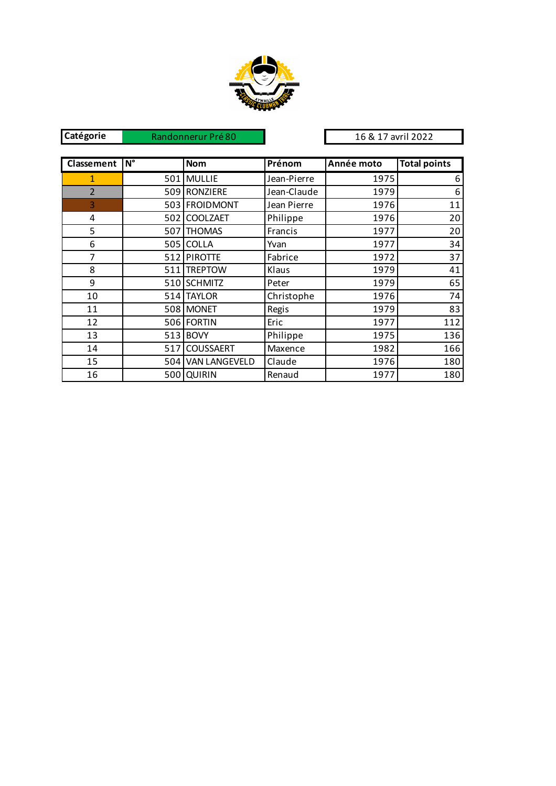

| Catégorie         |                                 | Randonnerur Pré 80   |             | 16 & 17 avril 2022 |                     |
|-------------------|---------------------------------|----------------------|-------------|--------------------|---------------------|
|                   |                                 |                      |             |                    |                     |
| <b>Classement</b> | $\overline{\mathsf{N}^{\circ}}$ | <b>Nom</b>           | Prénom      | Année moto         | <b>Total points</b> |
| 1                 | 501                             | <b>MULLIE</b>        | Jean-Pierre | 1975               | 6                   |
| $\overline{2}$    | 509                             | RONZIERE             | Jean-Claude | 1979               | 6                   |
| 3                 |                                 | 503 FROIDMONT        | Jean Pierre | 1976               | 11                  |
| 4                 | 502                             | <b>COOLZAET</b>      | Philippe    | 1976               | 20                  |
| 5                 | 507                             | <b>THOMAS</b>        | Francis     | 1977               | 20                  |
| 6                 | 505                             | <b>COLLA</b>         | Yvan        | 1977               | 34                  |
| 7                 |                                 | 512 PIROTTE          | Fabrice     | 1972               | 37                  |
| 8                 | 511                             | <b>TREPTOW</b>       | Klaus       | 1979               | 41                  |
| 9                 |                                 | 510 SCHMITZ          | Peter       | 1979               | 65                  |
| 10                | 514                             | <b>TAYLOR</b>        | Christophe  | 1976               | 74                  |
| 11                |                                 | 508 MONET            | Regis       | 1979               | 83                  |
| 12                |                                 | 506 FORTIN           | Eric        | 1977               | 112                 |
| 13                | 513                             | <b>BOVY</b>          | Philippe    | 1975               | 136                 |
| 14                | 517                             | <b>COUSSAERT</b>     | Maxence     | 1982               | 166                 |
| 15                | 504                             | <b>VAN LANGEVELD</b> | Claude      | 1976               | 180                 |
| 16                |                                 | 500 QUIRIN           | Renaud      | 1977               | 180                 |
|                   |                                 |                      |             |                    |                     |